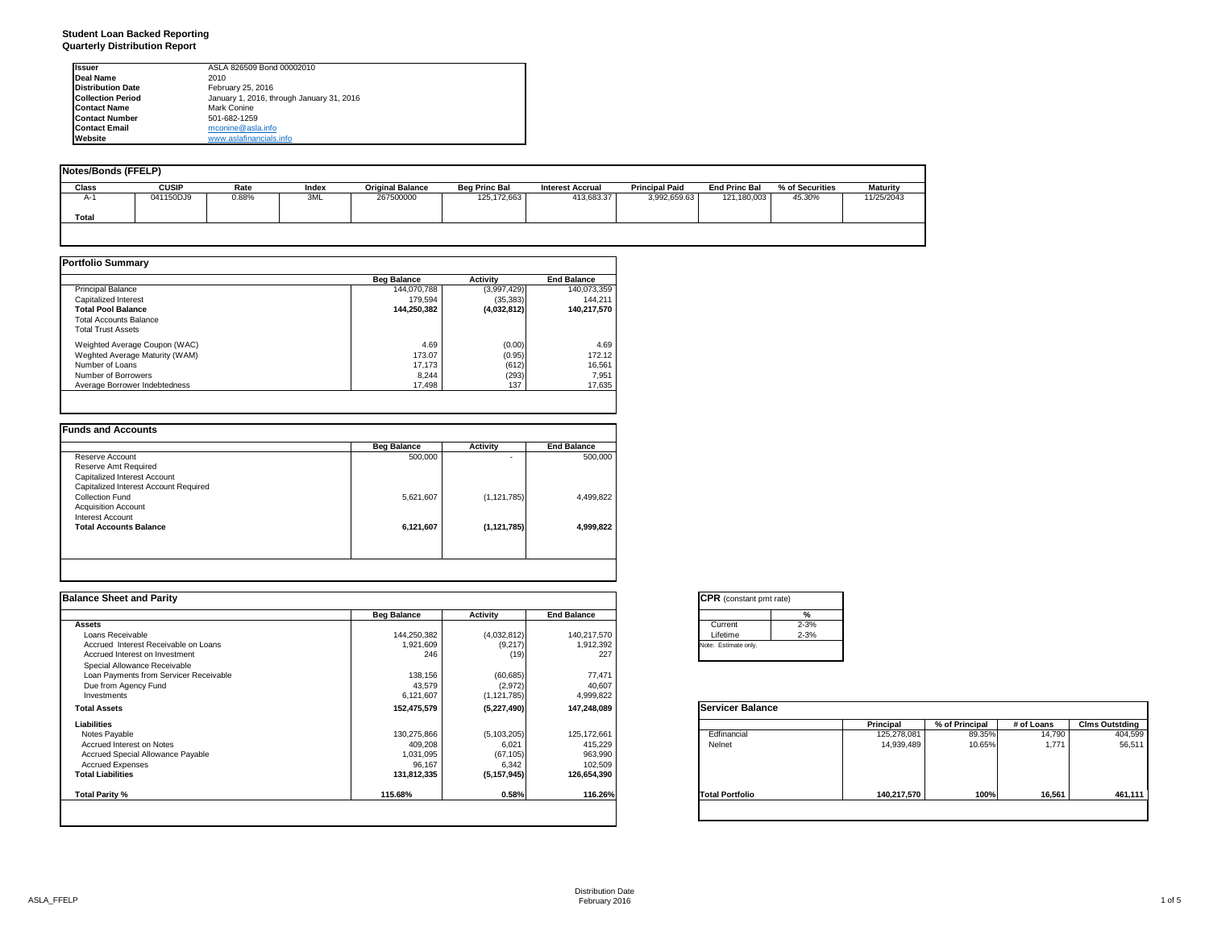### **Student Loan Backed Reporting Quarterly Distribution Report**

| <b>Issuer</b>            | ASLA 826509 Bond 00002010                 |
|--------------------------|-------------------------------------------|
| <b>Deal Name</b>         | 2010                                      |
| <b>Distribution Date</b> | February 25, 2016                         |
| <b>Collection Period</b> | January 1, 2016, through January 31, 2016 |
| <b>Contact Name</b>      | Mark Conine                               |
| <b>Contact Number</b>    | 501-682-1259                              |
| <b>Contact Email</b>     | mconine@asla.info                         |
| Website                  | www.aslafinancials.info                   |

| <b>Notes/Bonds (FFELP)</b> |           |       |       |                         |                      |                         |                       |                      |                 |                 |
|----------------------------|-----------|-------|-------|-------------------------|----------------------|-------------------------|-----------------------|----------------------|-----------------|-----------------|
| Class                      | CUSIP     | Rate  | Index | <b>Original Balance</b> | <b>Bea Princ Bal</b> | <b>Interest Accrual</b> | <b>Principal Paid</b> | <b>End Princ Bal</b> | % of Securities | <b>Maturity</b> |
| A-1                        | 041150DJ9 | 0.88% | 3ML   | 267500000               | 125, 172, 663        | 413,683.37              | 3,992,659.63          | 121,180,003          | 45.30%          | 11/25/2043      |
| Total                      |           |       |       |                         |                      |                         |                       |                      |                 |                 |
|                            |           |       |       |                         |                      |                         |                       |                      |                 |                 |

|                                | <b>Beg Balance</b> | <b>Activity</b> | <b>End Balance</b> |
|--------------------------------|--------------------|-----------------|--------------------|
| <b>Principal Balance</b>       | 144.070.788        | (3,997,429)     | 140,073,359        |
| Capitalized Interest           | 179.594            | (35, 383)       | 144.211            |
| <b>Total Pool Balance</b>      | 144.250.382        | (4,032,812)     | 140.217.570        |
| <b>Total Accounts Balance</b>  |                    |                 |                    |
| <b>Total Trust Assets</b>      |                    |                 |                    |
| Weighted Average Coupon (WAC)  | 4.69               | (0.00)          | 4.69               |
| Weghted Average Maturity (WAM) | 173.07             | (0.95)          | 172.12             |
| Number of Loans                | 17.173             | (612)           | 16,561             |
| Number of Borrowers            | 8.244              | (293)           | 7,951              |
| Average Borrower Indebtedness  | 17,498             | 137             | 17,635             |

| 500,000   | ٠             |           |
|-----------|---------------|-----------|
|           |               | 500,000   |
|           |               |           |
|           |               |           |
|           |               |           |
| 5,621,607 | (1, 121, 785) | 4,499,822 |
|           |               |           |
|           |               |           |
| 6,121,607 | (1, 121, 785) | 4,999,822 |
|           |               |           |
|           |               |           |

| <b>Balance Sheet and Parity</b>        |                    |               |                    | <b>CPR</b> (constant pmt rate) |          |             |                |            |                       |
|----------------------------------------|--------------------|---------------|--------------------|--------------------------------|----------|-------------|----------------|------------|-----------------------|
|                                        | <b>Beg Balance</b> | Activity      | <b>End Balance</b> |                                | %        |             |                |            |                       |
| <b>Assets</b>                          |                    |               |                    | Current                        | $2 - 3%$ |             |                |            |                       |
| Loans Receivable                       | 144,250,382        | (4,032,812)   | 140,217,570        | Lifetime                       | $2 - 3%$ |             |                |            |                       |
| Accrued Interest Receivable on Loans   | 1,921,609          | (9, 217)      | 1,912,392          | Note: Estimate only.           |          |             |                |            |                       |
| Accrued Interest on Investment         | 246                | (19           | 227                |                                |          |             |                |            |                       |
| Special Allowance Receivable           |                    |               |                    |                                |          |             |                |            |                       |
| Loan Payments from Servicer Receivable | 138,156            | (60, 685)     | 77,471             |                                |          |             |                |            |                       |
| Due from Agency Fund                   | 43,579             | (2,972)       | 40,607             |                                |          |             |                |            |                       |
| Investments                            | 6,121,607          | (1, 121, 785) | 4,999,822          |                                |          |             |                |            |                       |
| <b>Total Assets</b>                    | 152,475,579        | (5,227,490)   | 147,248,089        | <b>Servicer Balance</b>        |          |             |                |            |                       |
| Liabilities                            |                    |               |                    |                                |          | Principal   | % of Principal | # of Loans | <b>Cims Outstding</b> |
| Notes Payable                          | 130,275,866        | (5, 103, 205) | 125,172,661        | Edfinancial                    |          | 125,278,081 | 89.35%         | 14,790     | 404,599               |
| Accrued Interest on Notes              | 409,208            | 6,021         | 415,229            | Nelnet                         |          | 14,939,489  | 10.65%         | 1.771      | 56,511                |
| Accrued Special Allowance Payable      | 1,031,095          | (67, 105)     | 963,990            |                                |          |             |                |            |                       |
| <b>Accrued Expenses</b>                | 96,167             | 6,342         | 102,509            |                                |          |             |                |            |                       |
| <b>Total Liabilities</b>               | 131,812,335        | (5, 157, 945) | 126,654,390        |                                |          |             |                |            |                       |
| Total Parity %                         | 115.68%            | 0.58%         | 116.26%            | <b>Total Portfolio</b>         |          | 140,217,570 | 100%           | 16,561     | 461,111               |
|                                        |                    |               |                    |                                |          |             |                |            |                       |
|                                        |                    |               |                    |                                |          |             |                |            |                       |

|          | %        |
|----------|----------|
| Current  | $2 - 3%$ |
| Lifetime | $2 - 3%$ |

|                        | Principal   | % of Principal | # of Loans | <b>Clms Outstding</b> |
|------------------------|-------------|----------------|------------|-----------------------|
| Edfinancial            | 125,278,081 | 89.35%         | 14.790     | 404,599               |
| Nelnet                 | 14,939,489  | 10.65%         | 1,771      | 56,511                |
| <b>Total Portfolio</b> | 140,217,570 | 100%           | 16,561     | 461,111               |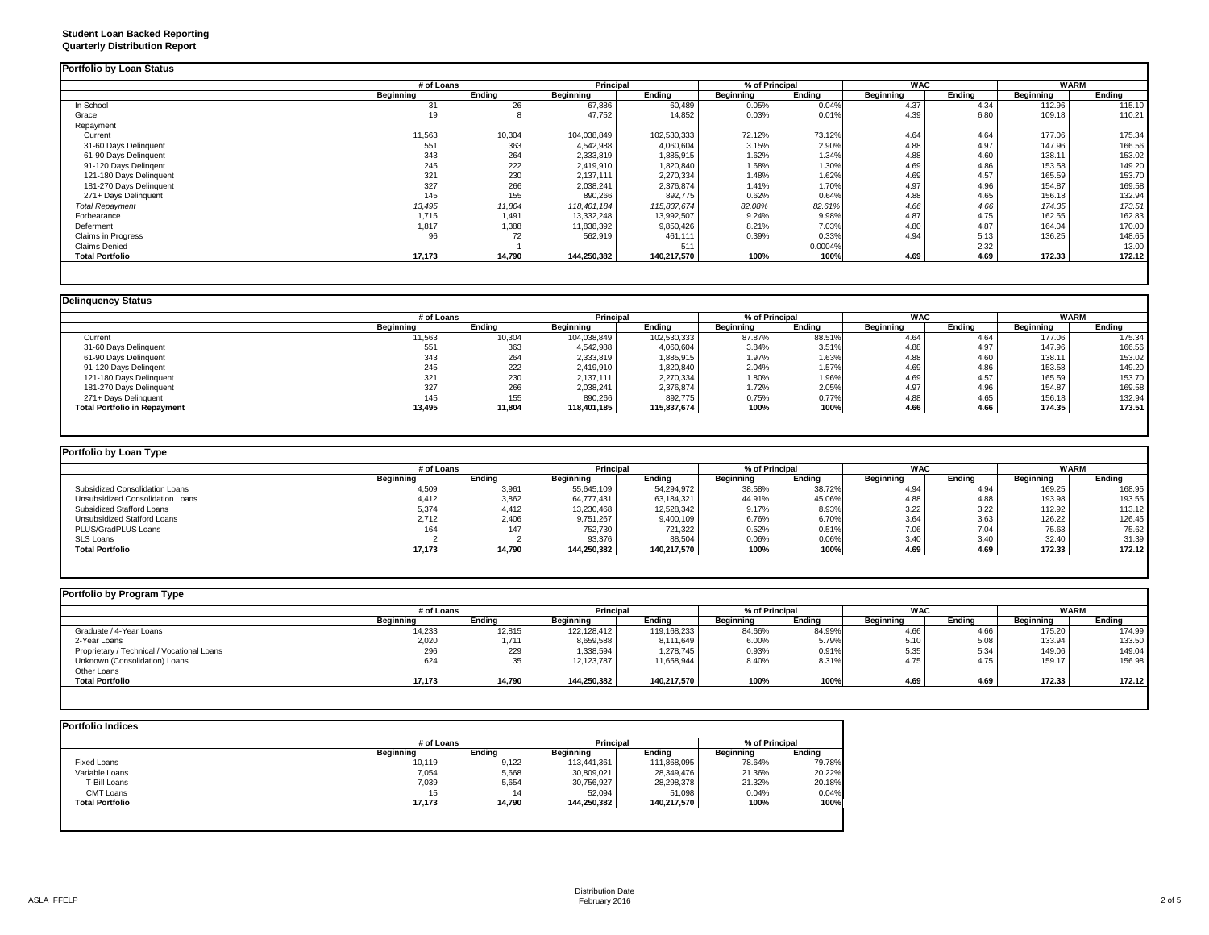|                                                   | # of Loans                |                 | Principal                      |                      | % of Principal             |                  | <b>WAC</b>               |                | <b>WARM</b>                |                                                                    |
|---------------------------------------------------|---------------------------|-----------------|--------------------------------|----------------------|----------------------------|------------------|--------------------------|----------------|----------------------------|--------------------------------------------------------------------|
|                                                   | <b>Beainning</b>          | Ending          | Beainning                      | Ending               | Beginning                  | Endina           | <b>Beginning</b>         | Ending         | <b>Beginning</b>           | Ending                                                             |
| In School                                         | 31                        | 26              | 67,886                         | 60,489               | 0.05%                      | 0.04%            | 4.37                     | 4.34           | 112.96                     | 115.10                                                             |
| Grace                                             | 19                        |                 | 47.752                         | 14.852               | 0.03%                      | 0.01%            | 4.39                     | 6.80           | 109.18                     | 110.21                                                             |
| Repayment                                         |                           |                 |                                |                      |                            |                  |                          |                |                            |                                                                    |
| Current                                           | 11,563                    | 10,304          | 104,038,849                    | 102,530,333          | 72.12%                     | 73.12%           | 4.64                     | 4.64           | 177.06                     | 175.34                                                             |
| 31-60 Days Delinquent                             | 551                       | 363             | 4.542.988                      | 4,060,604            | 3.15%                      | 2.90%            | 4.88                     | 4.97           | 147.96                     | 166.56                                                             |
| 61-90 Days Delinquent                             | 343                       | 264             | 2,333,819                      | 1,885,915            | 1.62%                      | 1.34%            | 4.88                     | 4.60           | 138.11                     | 153.02                                                             |
| 91-120 Days Delingent                             | 245                       | 222             | 2.419.910                      | 1,820,840            | 1.68%                      | 1.30%            | 4.69                     | 4.86           | 153.58                     | 149.20                                                             |
| 121-180 Days Delinquent                           | 321                       | 230             | 2,137,111                      | 2,270,334            | 1.48%                      | 1.62%            | 4.69                     | 4.57           | 165.59                     | 153.70                                                             |
| 181-270 Days Delinquent                           | 327                       | 266             | 2,038,241                      | 2,376,874            | 1.41%                      | 1.70%            | 4.97                     | 4.96           | 154.87                     | 169.58                                                             |
| 271+ Days Delinquent                              | 145                       | 155             | 890,266                        | 892,775              | 0.62%                      | 0.64%            | 4.88                     | 4.65           | 156.18                     | 132.94                                                             |
| <b>Total Repayment</b>                            | 13,495                    | 11,804          | 118,401.184                    | 115,837,674          | 82.08%                     | 82.61%           | 4.66                     | 4.66           | 174.35                     | 173.51                                                             |
| Forbearance                                       | 1.715                     | 1,491           | 13.332.248                     | 13,992,507           | 9.24%                      | 9.98%            | 4.87                     | 4.75           | 162.55                     | 162.83                                                             |
| Deferment                                         | 1,817                     | 1,388           | 11,838,392                     | 9,850,426            | 8.21%                      | 7.03%            | 4.80                     | 4.87           | 164.04                     | 170.00                                                             |
| <b>Claims in Progress</b>                         | 96                        | 72              | 562,919                        | 461,111              | 0.39%                      | 0.33%            | 4.94                     | 5.13           | 136.25                     | 148.65                                                             |
| <b>Claims Denied</b>                              |                           |                 |                                | 511                  |                            | 0.0004%          |                          | 2.32           |                            | 13.00                                                              |
| <b>Total Portfolio</b>                            | 17,173                    | 14,790          | 144,250,382                    | 140,217,570          | 100%                       | 100%             | 4.69                     | 4.69           | 172.33                     | 172.12                                                             |
|                                                   |                           |                 |                                |                      |                            |                  |                          |                |                            |                                                                    |
|                                                   |                           |                 |                                |                      |                            |                  |                          |                |                            |                                                                    |
|                                                   |                           |                 |                                |                      |                            |                  |                          |                |                            |                                                                    |
|                                                   |                           |                 |                                |                      |                            |                  |                          |                |                            |                                                                    |
|                                                   | # of Loans                |                 | Principal                      |                      | % of Principal             |                  | <b>WAC</b>               |                | <b>WARM</b>                |                                                                    |
|                                                   | <b>Beginning</b>          | Ending          | <b>Beginning</b>               | Ending               | <b>Beginning</b>           | Ending           | <b>Beginning</b>         | Ending         | <b>Beginning</b>           | Ending                                                             |
| Current                                           | 11,563                    | 10,304          | 104.038.849                    | 102,530,333          | 87.87%                     | 88.51%           | 4.64                     | 4.64           | 177.06                     |                                                                    |
| 31-60 Days Delinquent                             | 551                       | 363             | 4,542,988                      | 4,060,604            | 3.84%                      | 3.51%            | 4.88                     | 4.97           | 147.96                     |                                                                    |
| 61-90 Days Delinquent                             | 343                       | 264             | 2,333,819                      | 1,885,915            | 1.97%                      | 1.63%            | 4.88                     | 4.60           | 138.11                     |                                                                    |
| 91-120 Days Delingent                             | 245                       | 222             | 2.419.910                      | 1,820,840            | 2.04%                      | 1.57%            | 4.69                     | 4.86           | 153.58                     |                                                                    |
| 121-180 Days Delinquent                           | 321                       | 230             | 2.137.111                      | 2,270,334            | 1.80%                      | 1.96%            | 4.69                     | 4.57           | 165.59                     |                                                                    |
|                                                   |                           | 266             |                                |                      |                            |                  |                          | 4.96           | 154.87                     |                                                                    |
| 181-270 Days Delinquent                           | 327<br>145                | 155             | 2,038,241                      | 2,376,874            | 1.72%                      | 2.05%            | 4.97                     |                |                            |                                                                    |
| <b>Delinquency Status</b><br>271+ Days Delinquent |                           |                 | 890,266                        | 892,775              | 0.75%                      | 0.77%            | 4.88                     | 4.65           | 156.18                     | 132.94                                                             |
| <b>Total Portfolio in Repayment</b>               | 13.495                    | 11.804          | 118,401,185                    | 115,837,674          | 100%                       | 100%             | 4.66                     | 4.66           | 174.35                     |                                                                    |
|                                                   |                           |                 |                                |                      |                            |                  |                          |                |                            |                                                                    |
|                                                   |                           |                 |                                |                      |                            |                  |                          |                |                            |                                                                    |
|                                                   |                           |                 |                                |                      |                            |                  |                          |                |                            |                                                                    |
| Portfolio by Loan Type                            |                           |                 |                                |                      |                            |                  |                          |                |                            | 175.34<br>166.56<br>153.02<br>149.20<br>153.70<br>169.58<br>173.51 |
|                                                   | # of Loans                |                 | Principal                      |                      | % of Principal             |                  | <b>WAC</b>               |                | <b>WARM</b>                |                                                                    |
| Subsidized Consolidation Loans                    | <b>Beginning</b><br>4,509 | Ending<br>3,961 | <b>Beginning</b><br>55,645,109 | Endina<br>54,294,972 | <b>Beginning</b><br>38.58% | Ending<br>38.72% | <b>Beginning</b><br>4.94 | Ending<br>4.94 | <b>Beginning</b><br>169.25 | Ending<br>168.95                                                   |

|                                  | π νι Luαιιs      |        | i iliviyal       |             |           | 70 UL FILIUIPAI | ,,,,             |        |           | $\cdots$ |
|----------------------------------|------------------|--------|------------------|-------------|-----------|-----------------|------------------|--------|-----------|----------|
|                                  | <b>Beginning</b> | Endina | <b>Beainning</b> | Endina      | Beainnina | Endina          | <b>Beainning</b> | Endina | Beginning | Endina   |
| Subsidized Consolidation Loans   | 4,509            | 3,961  | 55,645,109       | 54,294,972  | 38.58%    | 38.72%          | 4.94             | 4.94   | 169.25    | 168.95   |
| Unsubsidized Consolidation Loans | 4.412            | 3,862  | 64,777,431       | 63,184,321  | 44.91%    | 45.06%          | 4.88             | 4.88   | 193.98    | 193.55   |
| Subsidized Stafford Loans        | 5,374            | 4,412  | 13,230,468       | 12,528,342  | 9.17%     | 8.93%           | 3.22             | 3.22   | 112.92    | 113.12   |
| Unsubsidized Stafford Loans      | 2,712            | 2,406  | 9,751,267        | 9,400,109   | 6.76%     | 6.70%           | 3.64             | 3.63   | 126.22    | 126.45   |
| PLUS/GradPLUS Loans              | 164              | 147    | 752,730          | 721.322     | 0.52%     | 0.51%           | 7.06             | 7.04   | 75.63     | 75.62    |
| SLS Loans                        |                  |        | 93,376           | 88,504      | 0.06%     | 0.06%           | 3.40             | 3.40   | 32.40     | 31.39    |
| <b>Total Portfolio</b>           | 17,173           | 14,790 | 144,250,382      | 140,217,570 | 100%      | 100%            | 4.69             | 4.69   | 172.33    | 172.12   |
|                                  |                  |        |                  |             |           |                 |                  |        |           |          |

| Portfolio by Program Type                  |            |        |                  |             |                  |                |            |        |           |        |
|--------------------------------------------|------------|--------|------------------|-------------|------------------|----------------|------------|--------|-----------|--------|
|                                            | # of Loans |        | <b>Principal</b> |             |                  | % of Principal | <b>WAC</b> |        |           | WARM   |
|                                            | Beainnina  | Endina | <b>Beginning</b> | Ending      | <b>Beginning</b> | Endina         | Beainnina  | Endina | Beginning | Endina |
| Graduate / 4-Year Loans                    | 14,233     | 12,815 | 122,128,412      | 119,168,233 | 84.66%           | 84.99%         | 4.66       | 4.66   | 175.20    | 174.99 |
| 2-Year Loans                               | 2,020      | 1,711  | 8,659,588        | 8,111,649   | 6.00%            | 5.79%          | 5.10       | 5.08   | 133.94    | 133.50 |
| Proprietary / Technical / Vocational Loans | 296        | 229    | 1,338,594        | 1,278,745   | 0.93%            | 0.91%          | 5.35       | 5.34   | 149.06    | 149.04 |
| Unknown (Consolidation) Loans              | 624        |        | 12,123,787       | 11,658,944  | 8.40%            | 8.31%          | 4.75       | 4.75   | 159.17    | 156.98 |
| Other Loans                                |            |        |                  |             |                  |                |            |        |           |        |
| <b>Total Portfolio</b>                     | 17,173     | 14,790 | 144,250,382      | 140,217,570 | 100%             | 100%           | 4.69       | 4.69   | 172.33    | 172.12 |
|                                            |            |        |                  |             |                  |                |            |        |           |        |

|                        | # of Loans |        | Principal   |             | % of Principal |        |
|------------------------|------------|--------|-------------|-------------|----------------|--------|
|                        | Beginning  | Endina | Beginning   | Endina      | Beginning      | Ending |
| <b>Fixed Loans</b>     | 10.119     | 9,122  | 113.441.361 | 111,868,095 | 78.64%         | 79.78% |
| Variable Loans         | 7,054      | 5,668  | 30,809,021  | 28,349,476  | 21.36%         | 20.22% |
| T-Bill Loans           | 7,039      | 5,654  | 30,756,927  | 28,298,378  | 21.32%         | 20.18% |
| CMT Loans              | 15         | 14     | 52.094      | 51.098      | 0.04%          | 0.04%  |
| <b>Total Portfolio</b> | 17,173     | 14,790 | 144,250,382 | 140,217,570 | 100%           | 100%   |

**Student Loan Backed Reporting Quarterly Distribution Report Portfolio by Loan Status**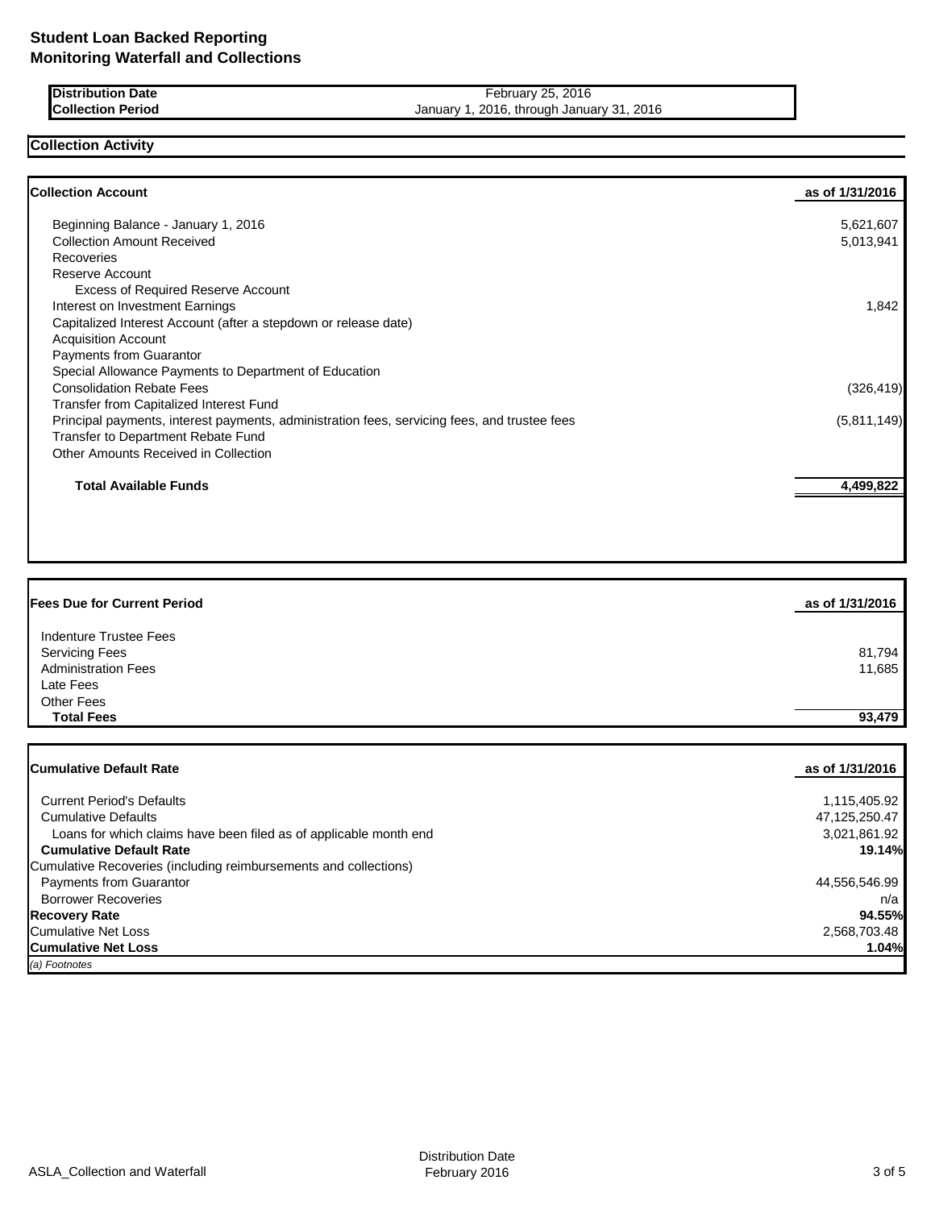**Distribution Date** February 25, 2016

**Collection Period Collection Period** January 1, 2016, through January 31, 2016

# **Collection Activity**

| <b>Collection Account</b>                                                                    | as of 1/31/2016 |
|----------------------------------------------------------------------------------------------|-----------------|
| Beginning Balance - January 1, 2016                                                          | 5,621,607       |
| <b>Collection Amount Received</b>                                                            | 5,013,941       |
| Recoveries                                                                                   |                 |
| Reserve Account                                                                              |                 |
| <b>Excess of Required Reserve Account</b>                                                    |                 |
| Interest on Investment Earnings                                                              | 1,842           |
| Capitalized Interest Account (after a stepdown or release date)                              |                 |
| <b>Acquisition Account</b>                                                                   |                 |
| Payments from Guarantor                                                                      |                 |
| Special Allowance Payments to Department of Education                                        |                 |
| <b>Consolidation Rebate Fees</b>                                                             | (326, 419)      |
| Transfer from Capitalized Interest Fund                                                      |                 |
| Principal payments, interest payments, administration fees, servicing fees, and trustee fees | (5,811,149)     |
| Transfer to Department Rebate Fund                                                           |                 |
| Other Amounts Received in Collection                                                         |                 |
| <b>Total Available Funds</b>                                                                 | 4,499,822       |
|                                                                                              |                 |

| Indenture Trustee Fees<br><b>Servicing Fees</b><br><b>Administration Fees</b><br>Late Fees<br><b>Other Fees</b> | as of 1/31/2016 |
|-----------------------------------------------------------------------------------------------------------------|-----------------|
|                                                                                                                 |                 |
|                                                                                                                 | 81,794          |
|                                                                                                                 | 11,685          |
|                                                                                                                 |                 |
|                                                                                                                 |                 |
| <b>Total Fees</b>                                                                                               | 93,479          |

| <b>ICumulative Default Rate</b>                                   | as of 1/31/2016 |
|-------------------------------------------------------------------|-----------------|
|                                                                   |                 |
| <b>Current Period's Defaults</b>                                  | 1,115,405.92    |
| <b>Cumulative Defaults</b>                                        | 47,125,250.47   |
| Loans for which claims have been filed as of applicable month end | 3,021,861.92    |
| <b>Cumulative Default Rate</b>                                    | 19.14%          |
| Cumulative Recoveries (including reimbursements and collections)  |                 |
| <b>Payments from Guarantor</b>                                    | 44,556,546.99   |
| <b>Borrower Recoveries</b>                                        | n/a             |
| <b>Recovery Rate</b>                                              | 94.55%          |
| Cumulative Net Loss                                               | 2,568,703.48    |
| <b>Cumulative Net Loss</b>                                        | 1.04%           |
| (a) Footnotes                                                     |                 |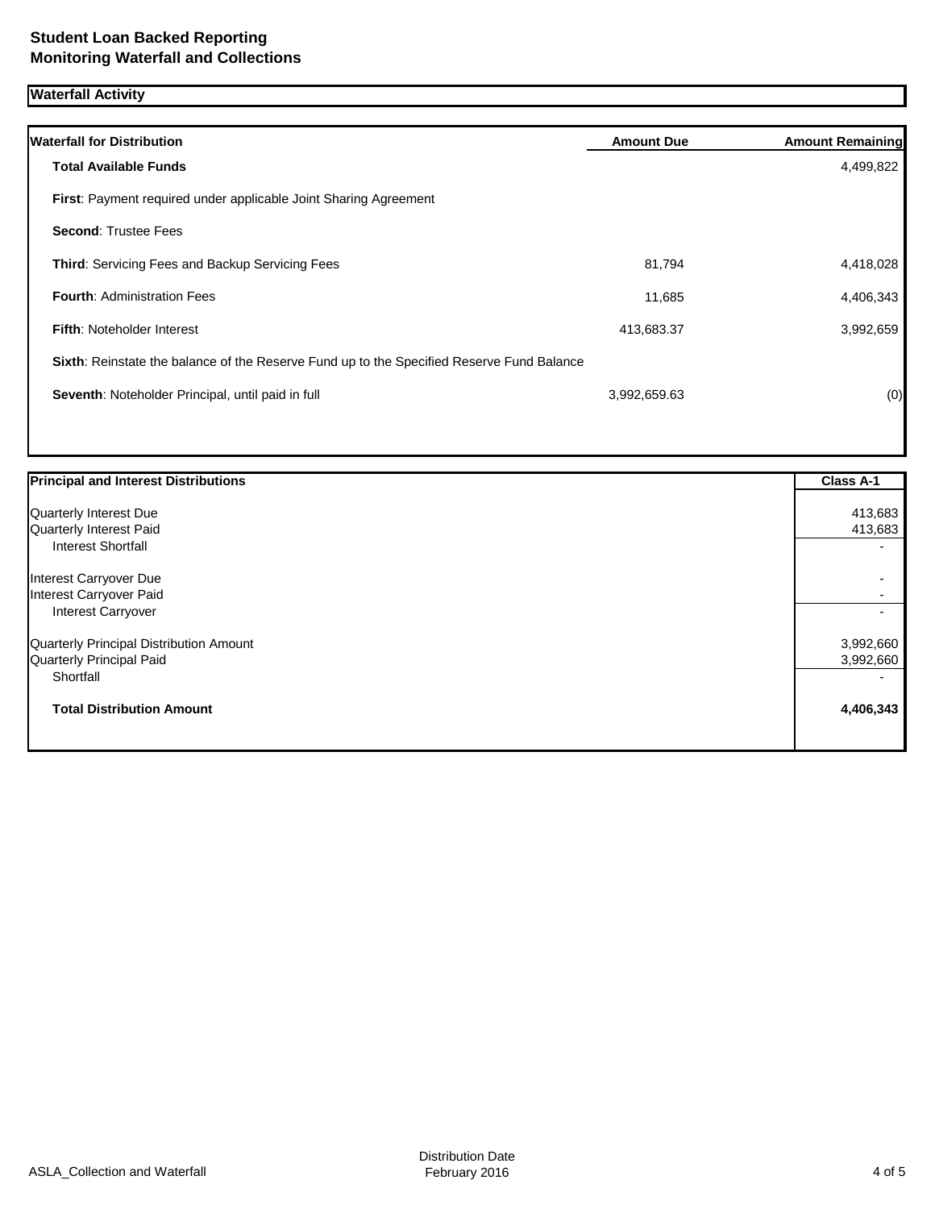| <b>Waterfall for Distribution</b>                                                         | <b>Amount Due</b> | <b>Amount Remaining</b> |
|-------------------------------------------------------------------------------------------|-------------------|-------------------------|
| <b>Total Available Funds</b>                                                              |                   | 4,499,822               |
| <b>First:</b> Payment required under applicable Joint Sharing Agreement                   |                   |                         |
| <b>Second: Trustee Fees</b>                                                               |                   |                         |
| Third: Servicing Fees and Backup Servicing Fees                                           | 81,794            | 4,418,028               |
| <b>Fourth: Administration Fees</b>                                                        | 11,685            | 4,406,343               |
| <b>Fifth: Noteholder Interest</b>                                                         | 413,683.37        | 3,992,659               |
| Sixth: Reinstate the balance of the Reserve Fund up to the Specified Reserve Fund Balance |                   |                         |
| Seventh: Noteholder Principal, until paid in full                                         | 3,992,659.63      | (0)                     |
|                                                                                           |                   |                         |

| <b>Principal and Interest Distributions</b> | Class A-1 |
|---------------------------------------------|-----------|
|                                             |           |
| Quarterly Interest Due                      | 413,683   |
| Quarterly Interest Paid                     | 413,683   |
| <b>Interest Shortfall</b>                   |           |
| Interest Carryover Due                      |           |
| Interest Carryover Paid                     |           |
|                                             |           |
| Interest Carryover                          |           |
| Quarterly Principal Distribution Amount     | 3,992,660 |
| Quarterly Principal Paid                    | 3,992,660 |
| Shortfall                                   |           |
|                                             |           |
| <b>Total Distribution Amount</b>            | 4,406,343 |
|                                             |           |
|                                             |           |